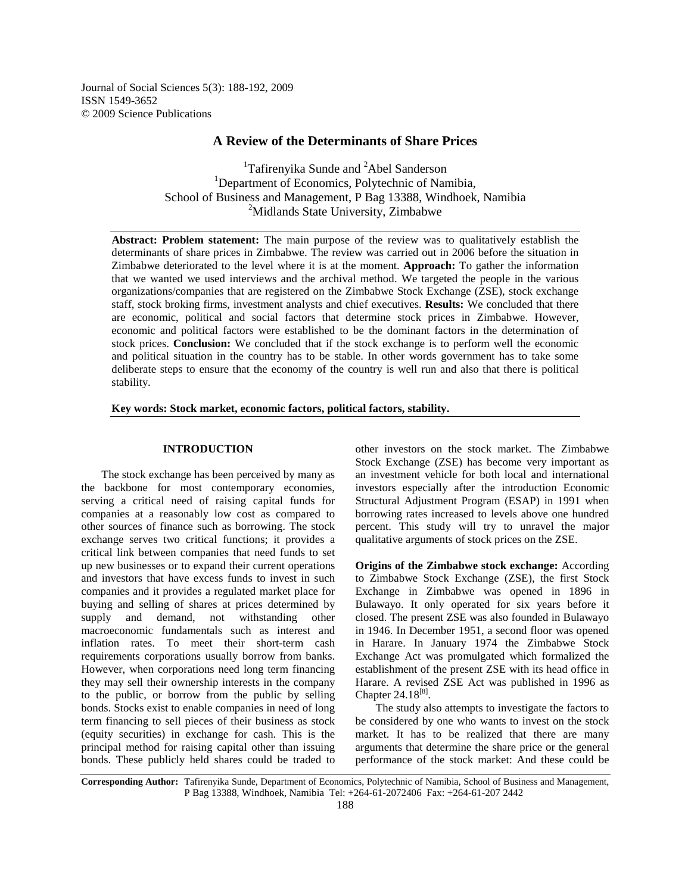Journal of Social Sciences 5(3): 188-192, 2009 ISSN 1549-3652 © 2009 Science Publications

# **A Review of the Determinants of Share Prices**

<sup>1</sup>Tafirenyika Sunde and <sup>2</sup>Abel Sanderson <sup>1</sup>Department of Economics, Polytechnic of Namibia, School of Business and Management, P Bag 13388, Windhoek, Namibia <sup>2</sup>Midlands State University, Zimbabwe

**Abstract: Problem statement:** The main purpose of the review was to qualitatively establish the determinants of share prices in Zimbabwe. The review was carried out in 2006 before the situation in Zimbabwe deteriorated to the level where it is at the moment. **Approach:** To gather the information that we wanted we used interviews and the archival method. We targeted the people in the various organizations/companies that are registered on the Zimbabwe Stock Exchange (ZSE), stock exchange staff, stock broking firms, investment analysts and chief executives. **Results:** We concluded that there are economic, political and social factors that determine stock prices in Zimbabwe. However, economic and political factors were established to be the dominant factors in the determination of stock prices. **Conclusion:** We concluded that if the stock exchange is to perform well the economic and political situation in the country has to be stable. In other words government has to take some deliberate steps to ensure that the economy of the country is well run and also that there is political stability.

**Key words: Stock market, economic factors, political factors, stability.** 

### **INTRODUCTION**

 The stock exchange has been perceived by many as the backbone for most contemporary economies, serving a critical need of raising capital funds for companies at a reasonably low cost as compared to other sources of finance such as borrowing. The stock exchange serves two critical functions; it provides a critical link between companies that need funds to set up new businesses or to expand their current operations and investors that have excess funds to invest in such companies and it provides a regulated market place for buying and selling of shares at prices determined by supply and demand, not withstanding other macroeconomic fundamentals such as interest and inflation rates. To meet their short-term cash requirements corporations usually borrow from banks. However, when corporations need long term financing they may sell their ownership interests in the company to the public, or borrow from the public by selling bonds. Stocks exist to enable companies in need of long term financing to sell pieces of their business as stock (equity securities) in exchange for cash. This is the principal method for raising capital other than issuing bonds. These publicly held shares could be traded to

other investors on the stock market. The Zimbabwe Stock Exchange (ZSE) has become very important as an investment vehicle for both local and international investors especially after the introduction Economic Structural Adjustment Program (ESAP) in 1991 when borrowing rates increased to levels above one hundred percent. This study will try to unravel the major qualitative arguments of stock prices on the ZSE.

**Origins of the Zimbabwe stock exchange:** According to Zimbabwe Stock Exchange (ZSE), the first Stock Exchange in Zimbabwe was opened in 1896 in Bulawayo. It only operated for six years before it closed. The present ZSE was also founded in Bulawayo in 1946. In December 1951, a second floor was opened in Harare. In January 1974 the Zimbabwe Stock Exchange Act was promulgated which formalized the establishment of the present ZSE with its head office in Harare. A revised ZSE Act was published in 1996 as Chapter  $24.18^{[8]}$ .

 The study also attempts to investigate the factors to be considered by one who wants to invest on the stock market. It has to be realized that there are many arguments that determine the share price or the general performance of the stock market: And these could be

**Corresponding Author:** Tafirenyika Sunde, Department of Economics, Polytechnic of Namibia, School of Business and Management, P Bag 13388, Windhoek, Namibia Tel: +264-61-2072406 Fax: +264-61-207 2442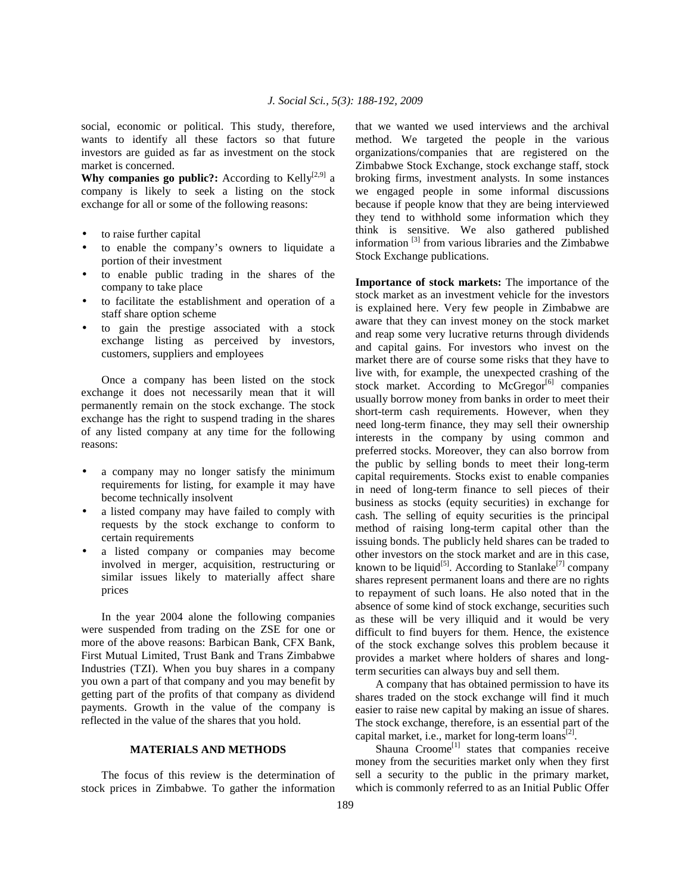social, economic or political. This study, therefore, wants to identify all these factors so that future investors are guided as far as investment on the stock market is concerned.

**Why companies go public?:** According to Kelly<sup>[2,9]</sup> a company is likely to seek a listing on the stock exchange for all or some of the following reasons:

- to raise further capital
- to enable the company's owners to liquidate a portion of their investment
- to enable public trading in the shares of the company to take place
- to facilitate the establishment and operation of a staff share option scheme
- to gain the prestige associated with a stock exchange listing as perceived by investors, customers, suppliers and employees

 Once a company has been listed on the stock exchange it does not necessarily mean that it will permanently remain on the stock exchange. The stock exchange has the right to suspend trading in the shares of any listed company at any time for the following reasons:

- a company may no longer satisfy the minimum requirements for listing, for example it may have become technically insolvent
- a listed company may have failed to comply with requests by the stock exchange to conform to certain requirements
- a listed company or companies may become involved in merger, acquisition, restructuring or similar issues likely to materially affect share prices

 In the year 2004 alone the following companies were suspended from trading on the ZSE for one or more of the above reasons: Barbican Bank, CFX Bank, First Mutual Limited, Trust Bank and Trans Zimbabwe Industries (TZI). When you buy shares in a company you own a part of that company and you may benefit by getting part of the profits of that company as dividend payments. Growth in the value of the company is reflected in the value of the shares that you hold.

### **MATERIALS AND METHODS**

 The focus of this review is the determination of stock prices in Zimbabwe. To gather the information that we wanted we used interviews and the archival method. We targeted the people in the various organizations/companies that are registered on the Zimbabwe Stock Exchange, stock exchange staff, stock broking firms, investment analysts. In some instances we engaged people in some informal discussions because if people know that they are being interviewed they tend to withhold some information which they think is sensitive. We also gathered published information [3] from various libraries and the Zimbabwe Stock Exchange publications.

**Importance of stock markets:** The importance of the stock market as an investment vehicle for the investors is explained here. Very few people in Zimbabwe are aware that they can invest money on the stock market and reap some very lucrative returns through dividends and capital gains. For investors who invest on the market there are of course some risks that they have to live with, for example, the unexpected crashing of the stock market. According to  $McGregor<sup>[6]</sup>$  companies usually borrow money from banks in order to meet their short-term cash requirements. However, when they need long-term finance, they may sell their ownership interests in the company by using common and preferred stocks. Moreover, they can also borrow from the public by selling bonds to meet their long-term capital requirements. Stocks exist to enable companies in need of long-term finance to sell pieces of their business as stocks (equity securities) in exchange for cash. The selling of equity securities is the principal method of raising long-term capital other than the issuing bonds. The publicly held shares can be traded to other investors on the stock market and are in this case, known to be liquid<sup>[5]</sup>. According to Stanlake<sup>[7]</sup> company shares represent permanent loans and there are no rights to repayment of such loans. He also noted that in the absence of some kind of stock exchange, securities such as these will be very illiquid and it would be very difficult to find buyers for them. Hence, the existence of the stock exchange solves this problem because it provides a market where holders of shares and longterm securities can always buy and sell them.

 A company that has obtained permission to have its shares traded on the stock exchange will find it much easier to raise new capital by making an issue of shares. The stock exchange, therefore, is an essential part of the capital market, i.e., market for long-term  $\text{loans}^{[2]}$ .

Shauna  $Croome^{[1]}$  states that companies receive money from the securities market only when they first sell a security to the public in the primary market, which is commonly referred to as an Initial Public Offer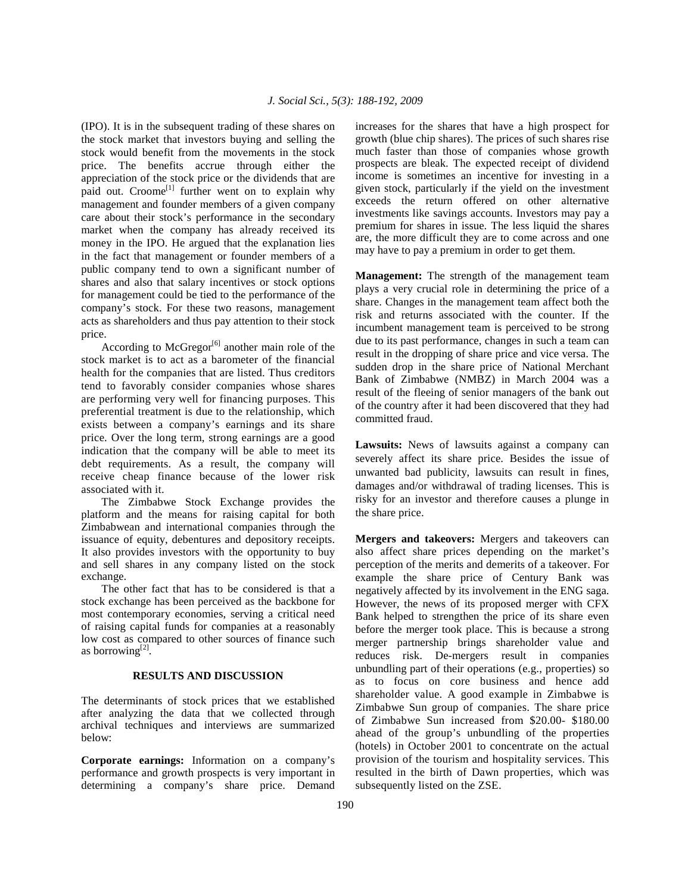(IPO). It is in the subsequent trading of these shares on the stock market that investors buying and selling the stock would benefit from the movements in the stock price. The benefits accrue through either the appreciation of the stock price or the dividends that are paid out. Croome<sup>[1]</sup> further went on to explain why management and founder members of a given company care about their stock's performance in the secondary market when the company has already received its money in the IPO. He argued that the explanation lies in the fact that management or founder members of a public company tend to own a significant number of shares and also that salary incentives or stock options for management could be tied to the performance of the company's stock. For these two reasons, management acts as shareholders and thus pay attention to their stock price.

According to McGregor<sup>[6]</sup> another main role of the stock market is to act as a barometer of the financial health for the companies that are listed. Thus creditors tend to favorably consider companies whose shares are performing very well for financing purposes. This preferential treatment is due to the relationship, which exists between a company's earnings and its share price. Over the long term, strong earnings are a good indication that the company will be able to meet its debt requirements. As a result, the company will receive cheap finance because of the lower risk associated with it.

 The Zimbabwe Stock Exchange provides the platform and the means for raising capital for both Zimbabwean and international companies through the issuance of equity, debentures and depository receipts. It also provides investors with the opportunity to buy and sell shares in any company listed on the stock exchange.

 The other fact that has to be considered is that a stock exchange has been perceived as the backbone for most contemporary economies, serving a critical need of raising capital funds for companies at a reasonably low cost as compared to other sources of finance such as borrowing<sup>[2]</sup>.

## **RESULTS AND DISCUSSION**

The determinants of stock prices that we established after analyzing the data that we collected through archival techniques and interviews are summarized below:

**Corporate earnings:** Information on a company's performance and growth prospects is very important in determining a company's share price. Demand increases for the shares that have a high prospect for growth (blue chip shares). The prices of such shares rise much faster than those of companies whose growth prospects are bleak. The expected receipt of dividend income is sometimes an incentive for investing in a given stock, particularly if the yield on the investment exceeds the return offered on other alternative investments like savings accounts. Investors may pay a premium for shares in issue. The less liquid the shares are, the more difficult they are to come across and one may have to pay a premium in order to get them.

**Management:** The strength of the management team plays a very crucial role in determining the price of a share. Changes in the management team affect both the risk and returns associated with the counter. If the incumbent management team is perceived to be strong due to its past performance, changes in such a team can result in the dropping of share price and vice versa. The sudden drop in the share price of National Merchant Bank of Zimbabwe (NMBZ) in March 2004 was a result of the fleeing of senior managers of the bank out of the country after it had been discovered that they had committed fraud.

**Lawsuits:** News of lawsuits against a company can severely affect its share price. Besides the issue of unwanted bad publicity, lawsuits can result in fines, damages and/or withdrawal of trading licenses. This is risky for an investor and therefore causes a plunge in the share price.

**Mergers and takeovers:** Mergers and takeovers can also affect share prices depending on the market's perception of the merits and demerits of a takeover. For example the share price of Century Bank was negatively affected by its involvement in the ENG saga. However, the news of its proposed merger with CFX Bank helped to strengthen the price of its share even before the merger took place. This is because a strong merger partnership brings shareholder value and reduces risk. De-mergers result in companies unbundling part of their operations (e.g., properties) so as to focus on core business and hence add shareholder value. A good example in Zimbabwe is Zimbabwe Sun group of companies. The share price of Zimbabwe Sun increased from \$20.00- \$180.00 ahead of the group's unbundling of the properties (hotels) in October 2001 to concentrate on the actual provision of the tourism and hospitality services. This resulted in the birth of Dawn properties, which was subsequently listed on the ZSE.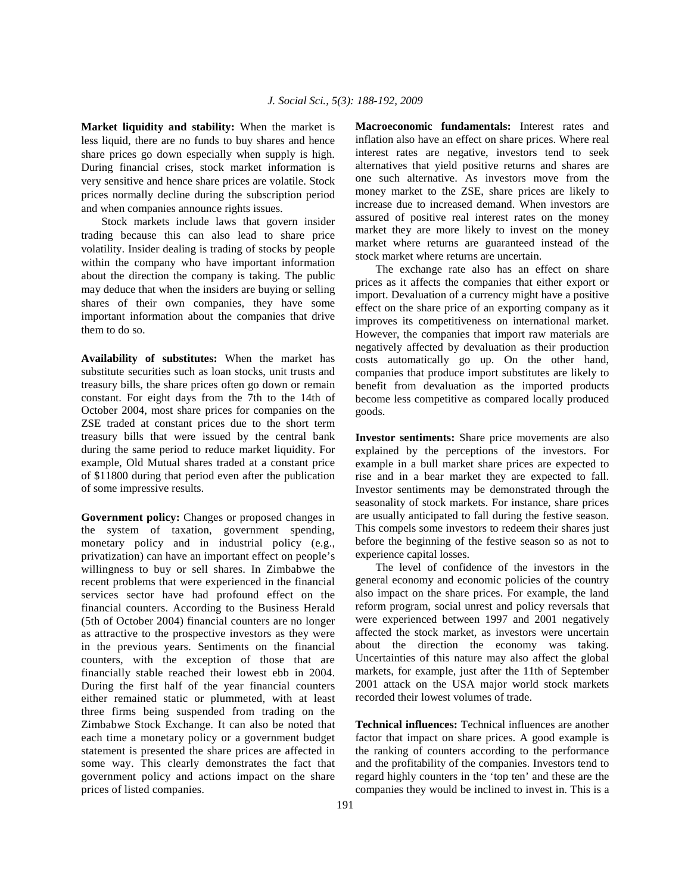**Market liquidity and stability:** When the market is less liquid, there are no funds to buy shares and hence share prices go down especially when supply is high. During financial crises, stock market information is very sensitive and hence share prices are volatile. Stock prices normally decline during the subscription period and when companies announce rights issues.

 Stock markets include laws that govern insider trading because this can also lead to share price volatility. Insider dealing is trading of stocks by people within the company who have important information about the direction the company is taking. The public may deduce that when the insiders are buying or selling shares of their own companies, they have some important information about the companies that drive them to do so.

**Availability of substitutes:** When the market has substitute securities such as loan stocks, unit trusts and treasury bills, the share prices often go down or remain constant. For eight days from the 7th to the 14th of October 2004, most share prices for companies on the ZSE traded at constant prices due to the short term treasury bills that were issued by the central bank during the same period to reduce market liquidity. For example, Old Mutual shares traded at a constant price of \$11800 during that period even after the publication of some impressive results.

**Government policy:** Changes or proposed changes in the system of taxation, government spending, monetary policy and in industrial policy (e.g., privatization) can have an important effect on people's willingness to buy or sell shares. In Zimbabwe the recent problems that were experienced in the financial services sector have had profound effect on the financial counters. According to the Business Herald (5th of October 2004) financial counters are no longer as attractive to the prospective investors as they were in the previous years. Sentiments on the financial counters, with the exception of those that are financially stable reached their lowest ebb in 2004. During the first half of the year financial counters either remained static or plummeted, with at least three firms being suspended from trading on the Zimbabwe Stock Exchange. It can also be noted that each time a monetary policy or a government budget statement is presented the share prices are affected in some way. This clearly demonstrates the fact that government policy and actions impact on the share prices of listed companies.

**Macroeconomic fundamentals:** Interest rates and inflation also have an effect on share prices. Where real interest rates are negative, investors tend to seek alternatives that yield positive returns and shares are one such alternative. As investors move from the money market to the ZSE, share prices are likely to increase due to increased demand. When investors are assured of positive real interest rates on the money market they are more likely to invest on the money market where returns are guaranteed instead of the stock market where returns are uncertain.

 The exchange rate also has an effect on share prices as it affects the companies that either export or import. Devaluation of a currency might have a positive effect on the share price of an exporting company as it improves its competitiveness on international market. However, the companies that import raw materials are negatively affected by devaluation as their production costs automatically go up. On the other hand, companies that produce import substitutes are likely to benefit from devaluation as the imported products become less competitive as compared locally produced goods.

**Investor sentiments:** Share price movements are also explained by the perceptions of the investors. For example in a bull market share prices are expected to rise and in a bear market they are expected to fall. Investor sentiments may be demonstrated through the seasonality of stock markets. For instance, share prices are usually anticipated to fall during the festive season. This compels some investors to redeem their shares just before the beginning of the festive season so as not to experience capital losses.

 The level of confidence of the investors in the general economy and economic policies of the country also impact on the share prices. For example, the land reform program, social unrest and policy reversals that were experienced between 1997 and 2001 negatively affected the stock market, as investors were uncertain about the direction the economy was taking. Uncertainties of this nature may also affect the global markets, for example, just after the 11th of September 2001 attack on the USA major world stock markets recorded their lowest volumes of trade.

**Technical influences:** Technical influences are another factor that impact on share prices. A good example is the ranking of counters according to the performance and the profitability of the companies. Investors tend to regard highly counters in the 'top ten' and these are the companies they would be inclined to invest in. This is a